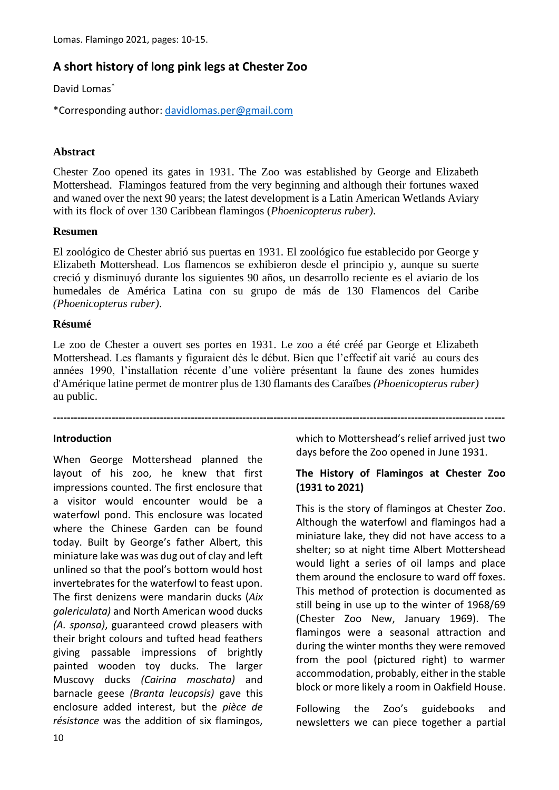# **A short history of long pink legs at Chester Zoo**

David Lomas\*

\*Corresponding author: [davidlomas.per@gmail.com](mailto:davidlomas.per@gmail.com)

## **Abstract**

Chester Zoo opened its gates in 1931. The Zoo was established by George and Elizabeth Mottershead. Flamingos featured from the very beginning and although their fortunes waxed and waned over the next 90 years; the latest development is a Latin American Wetlands Aviary with its flock of over 130 Caribbean flamingos (*Phoenicopterus ruber)*.

#### **Resumen**

El zoológico de Chester abrió sus puertas en 1931. El zoológico fue establecido por George y Elizabeth Mottershead. Los flamencos se exhibieron desde el principio y, aunque su suerte creció y disminuyó durante los siguientes 90 años, un desarrollo reciente es el aviario de los humedales de América Latina con su grupo de más de 130 Flamencos del Caribe *(Phoenicopterus ruber)*.

## **Résumé**

Le zoo de Chester a ouvert ses portes en 1931. Le zoo a été créé par George et Elizabeth Mottershead. Les flamants y figuraient dès le début. Bien que l'effectif ait varié au cours des années 1990, l'installation récente d'une volière présentant la faune des zones humides d'Amérique latine permet de montrer plus de 130 flamants des Caraïbes *(Phoenicopterus ruber)*  au public.

**-----------------------------------------------------------------------------------------------------------------------------------**

#### **Introduction**

When George Mottershead planned the layout of his zoo, he knew that first impressions counted. The first enclosure that a visitor would encounter would be a waterfowl pond. This enclosure was located where the Chinese Garden can be found today. Built by George's father Albert, this miniature lake was was dug out of clay and left unlined so that the pool's bottom would host invertebrates for the waterfowl to feast upon. The first denizens were mandarin ducks (*Aix galericulata)* and North American wood ducks *(A. sponsa)*, guaranteed crowd pleasers with their bright colours and tufted head feathers giving passable impressions of brightly painted wooden toy ducks. The larger Muscovy ducks *(Cairina moschata)* and barnacle geese *(Branta leucopsis)* gave this enclosure added interest, but the *pièce de résistance* was the addition of six flamingos,

which to Mottershead's relief arrived just two days before the Zoo opened in June 1931.

#### **The History of Flamingos at Chester Zoo (1931 to 2021)**

This is the story of flamingos at Chester Zoo. Although the waterfowl and flamingos had a miniature lake, they did not have access to a shelter; so at night time Albert Mottershead would light a series of oil lamps and place them around the enclosure to ward off foxes. This method of protection is documented as still being in use up to the winter of 1968/69 (Chester Zoo New, January 1969). The flamingos were a seasonal attraction and during the winter months they were removed from the pool (pictured right) to warmer accommodation, probably, either in the stable block or more likely a room in Oakfield House.

Following the Zoo's guidebooks and newsletters we can piece together a partial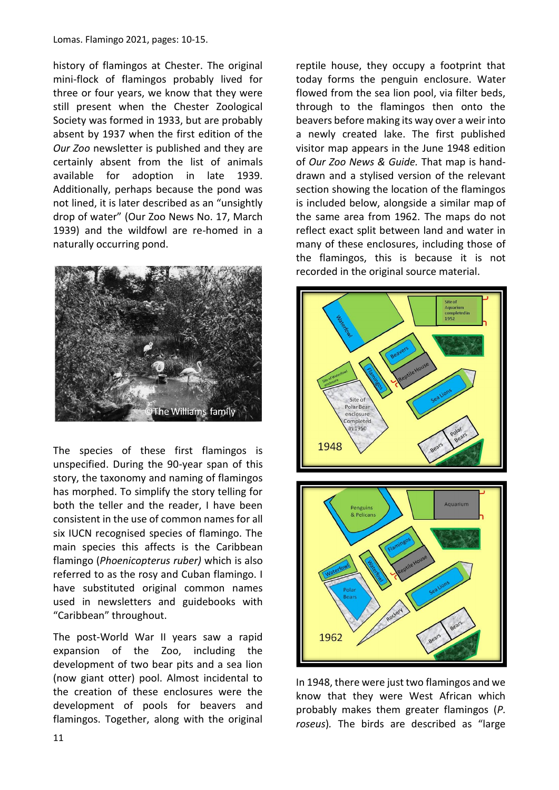Lomas. Flamingo 2021, pages: 10-15.

history of flamingos at Chester. The original mini-flock of flamingos probably lived for three or four years, we know that they were still present when the Chester Zoological Society was formed in 1933, but are probably absent by 1937 when the first edition of the *Our Zoo* newsletter is published and they are certainly absent from the list of animals available for adoption in late 1939. Additionally, perhaps because the pond was not lined, it is later described as an "unsightly drop of water" (Our Zoo News No. 17, March 1939) and the wildfowl are re-homed in a naturally occurring pond.



The species of these first flamingos is unspecified. During the 90-year span of this story, the taxonomy and naming of flamingos has morphed. To simplify the story telling for both the teller and the reader, I have been consistent in the use of common names for all six IUCN recognised species of flamingo. The main species this affects is the Caribbean flamingo (*Phoenicopterus ruber)* which is also referred to as the rosy and Cuban flamingo. I have substituted original common names used in newsletters and guidebooks with "Caribbean" throughout.

The post-World War II years saw a rapid expansion of the Zoo, including the development of two bear pits and a sea lion (now giant otter) pool. Almost incidental to the creation of these enclosures were the development of pools for beavers and flamingos. Together, along with the original reptile house, they occupy a footprint that today forms the penguin enclosure. Water flowed from the sea lion pool, via filter beds, through to the flamingos then onto the beavers before making its way over a weir into a newly created lake. The first published visitor map appears in the June 1948 edition of *Our Zoo News & Guide.* That map is handdrawn and a stylised version of the relevant section showing the location of the flamingos is included below, alongside a similar map of the same area from 1962. The maps do not reflect exact split between land and water in many of these enclosures, including those of the flamingos, this is because it is not recorded in the original source material.



In 1948, there were just two flamingos and we know that they were West African which probably makes them greater flamingos (*P. roseus*)*.* The birds are described as "large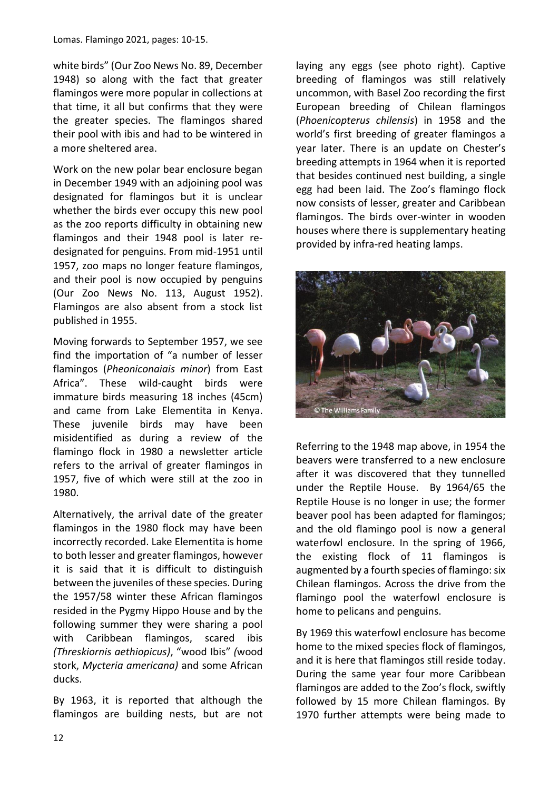white birds" (Our Zoo News No. 89, December 1948) so along with the fact that greater flamingos were more popular in collections at that time, it all but confirms that they were the greater species. The flamingos shared their pool with ibis and had to be wintered in a more sheltered area.

Work on the new polar bear enclosure began in December 1949 with an adjoining pool was designated for flamingos but it is unclear whether the birds ever occupy this new pool as the zoo reports difficulty in obtaining new flamingos and their 1948 pool is later redesignated for penguins. From mid-1951 until 1957, zoo maps no longer feature flamingos, and their pool is now occupied by penguins (Our Zoo News No. 113, August 1952). Flamingos are also absent from a stock list published in 1955.

Moving forwards to September 1957, we see find the importation of "a number of lesser flamingos (*Pheoniconaiais minor*) from East Africa". These wild-caught birds were immature birds measuring 18 inches (45cm) and came from Lake Elementita in Kenya. These juvenile birds may have been misidentified as during a review of the flamingo flock in 1980 a newsletter article refers to the arrival of greater flamingos in 1957, five of which were still at the zoo in 1980.

Alternatively, the arrival date of the greater flamingos in the 1980 flock may have been incorrectly recorded. Lake Elementita is home to both lesser and greater flamingos, however it is said that it is difficult to distinguish between the juveniles of these species. During the 1957/58 winter these African flamingos resided in the Pygmy Hippo House and by the following summer they were sharing a pool with Caribbean flamingos, scared ibis *(Threskiornis aethiopicus)*, "wood Ibis" *(*wood stork, *Mycteria americana)* and some African ducks.

By 1963, it is reported that although the flamingos are building nests, but are not laying any eggs (see photo right). Captive breeding of flamingos was still relatively uncommon, with Basel Zoo recording the first European breeding of Chilean flamingos (*Phoenicopterus chilensis*) in 1958 and the world's first breeding of greater flamingos a year later. There is an update on Chester's breeding attempts in 1964 when it is reported that besides continued nest building, a single egg had been laid. The Zoo's flamingo flock now consists of lesser, greater and Caribbean flamingos. The birds over-winter in wooden houses where there is supplementary heating provided by infra-red heating lamps.



Referring to the 1948 map above, in 1954 the beavers were transferred to a new enclosure after it was discovered that they tunnelled under the Reptile House. By 1964/65 the Reptile House is no longer in use; the former beaver pool has been adapted for flamingos; and the old flamingo pool is now a general waterfowl enclosure. In the spring of 1966, the existing flock of 11 flamingos is augmented by a fourth species of flamingo: six Chilean flamingos. Across the drive from the flamingo pool the waterfowl enclosure is home to pelicans and penguins.

By 1969 this waterfowl enclosure has become home to the mixed species flock of flamingos, and it is here that flamingos still reside today. During the same year four more Caribbean flamingos are added to the Zoo's flock, swiftly followed by 15 more Chilean flamingos. By 1970 further attempts were being made to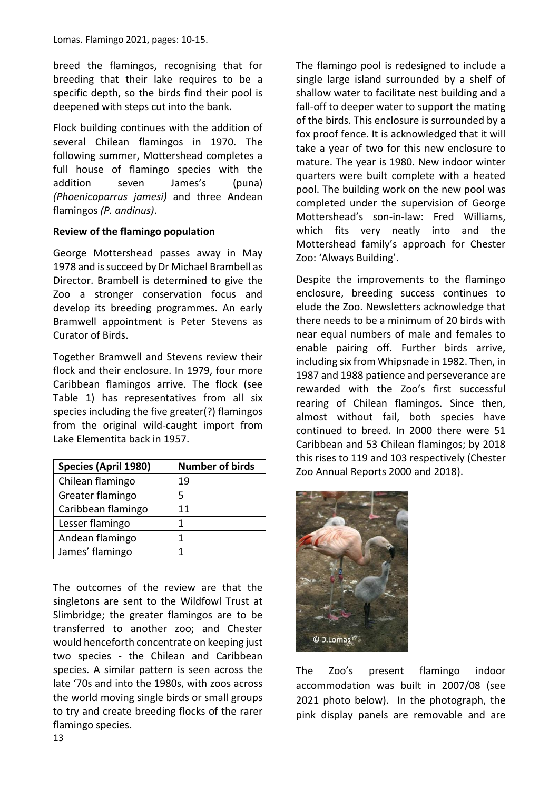breed the flamingos, recognising that for breeding that their lake requires to be a specific depth, so the birds find their pool is deepened with steps cut into the bank.

Flock building continues with the addition of several Chilean flamingos in 1970. The following summer, Mottershead completes a full house of flamingo species with the addition seven James's (puna) *(Phoenicoparrus jamesi)* and three Andean flamingos *(P. andinus)*.

## **Review of the flamingo population**

George Mottershead passes away in May 1978 and is succeed by Dr Michael Brambell as Director. Brambell is determined to give the Zoo a stronger conservation focus and develop its breeding programmes. An early Bramwell appointment is Peter Stevens as Curator of Birds.

Together Bramwell and Stevens review their flock and their enclosure. In 1979, four more Caribbean flamingos arrive. The flock (see Table 1) has representatives from all six species including the five greater(?) flamingos from the original wild-caught import from Lake Elementita back in 1957.

| Species (April 1980) | <b>Number of birds</b> |
|----------------------|------------------------|
| Chilean flamingo     | 19                     |
| Greater flamingo     | 5                      |
| Caribbean flamingo   | 11                     |
| Lesser flamingo      | 1                      |
| Andean flamingo      | 1                      |
| James' flamingo      |                        |

The outcomes of the review are that the singletons are sent to the Wildfowl Trust at Slimbridge; the greater flamingos are to be transferred to another zoo; and Chester would henceforth concentrate on keeping just two species - the Chilean and Caribbean species. A similar pattern is seen across the late '70s and into the 1980s, with zoos across the world moving single birds or small groups to try and create breeding flocks of the rarer flamingo species.

The flamingo pool is redesigned to include a single large island surrounded by a shelf of shallow water to facilitate nest building and a fall-off to deeper water to support the mating of the birds. This enclosure is surrounded by a fox proof fence. It is acknowledged that it will take a year of two for this new enclosure to mature. The year is 1980. New indoor winter quarters were built complete with a heated pool. The building work on the new pool was completed under the supervision of George Mottershead's son-in-law: Fred Williams, which fits very neatly into and the Mottershead family's approach for Chester Zoo: 'Always Building'.

Despite the improvements to the flamingo enclosure, breeding success continues to elude the Zoo. Newsletters acknowledge that there needs to be a minimum of 20 birds with near equal numbers of male and females to enable pairing off. Further birds arrive, including six from Whipsnade in 1982. Then, in 1987 and 1988 patience and perseverance are rewarded with the Zoo's first successful rearing of Chilean flamingos. Since then, almost without fail, both species have continued to breed. In 2000 there were 51 Caribbean and 53 Chilean flamingos; by 2018 this rises to 119 and 103 respectively (Chester Zoo Annual Reports 2000 and 2018).



The Zoo's present flamingo indoor accommodation was built in 2007/08 (see 2021 photo below). In the photograph, the pink display panels are removable and are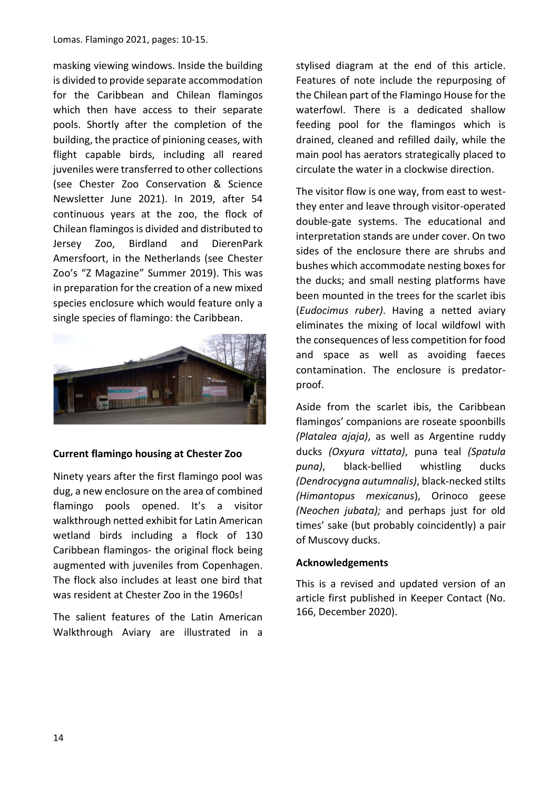masking viewing windows. Inside the building is divided to provide separate accommodation for the Caribbean and Chilean flamingos which then have access to their separate pools. Shortly after the completion of the building, the practice of pinioning ceases, with flight capable birds, including all reared juveniles were transferred to other collections (see Chester Zoo Conservation & Science Newsletter June 2021). In 2019, after 54 continuous years at the zoo, the flock of Chilean flamingos is divided and distributed to Jersey Zoo, Birdland and DierenPark Amersfoort, in the Netherlands (see Chester Zoo's "Z Magazine" Summer 2019). This was in preparation for the creation of a new mixed species enclosure which would feature only a single species of flamingo: the Caribbean.



#### **Current flamingo housing at Chester Zoo**

Ninety years after the first flamingo pool was dug, a new enclosure on the area of combined flamingo pools opened. It's a visitor walkthrough netted exhibit for Latin American wetland birds including a flock of 130 Caribbean flamingos- the original flock being augmented with juveniles from Copenhagen. The flock also includes at least one bird that was resident at Chester Zoo in the 1960s!

The salient features of the Latin American Walkthrough Aviary are illustrated in a stylised diagram at the end of this article. Features of note include the repurposing of the Chilean part of the Flamingo House for the waterfowl. There is a dedicated shallow feeding pool for the flamingos which is drained, cleaned and refilled daily, while the main pool has aerators strategically placed to circulate the water in a clockwise direction.

The visitor flow is one way, from east to westthey enter and leave through visitor-operated double-gate systems. The educational and interpretation stands are under cover. On two sides of the enclosure there are shrubs and bushes which accommodate nesting boxes for the ducks; and small nesting platforms have been mounted in the trees for the scarlet ibis (*Eudocimus ruber)*. Having a netted aviary eliminates the mixing of local wildfowl with the consequences of less competition for food and space as well as avoiding faeces contamination. The enclosure is predatorproof.

Aside from the scarlet ibis, the Caribbean flamingos' companions are roseate spoonbills *(Platalea ajaja)*, as well as Argentine ruddy ducks *(Oxyura vittata)*, puna teal *(Spatula puna)*, black-bellied whistling ducks *(Dendrocygna autumnalis)*, black-necked stilts *(Himantopus mexicanus*), Orinoco geese *(Neochen jubata);* and perhaps just for old times' sake (but probably coincidently) a pair of Muscovy ducks.

#### **Acknowledgements**

This is a revised and updated version of an article first published in Keeper Contact (No. 166, December 2020).